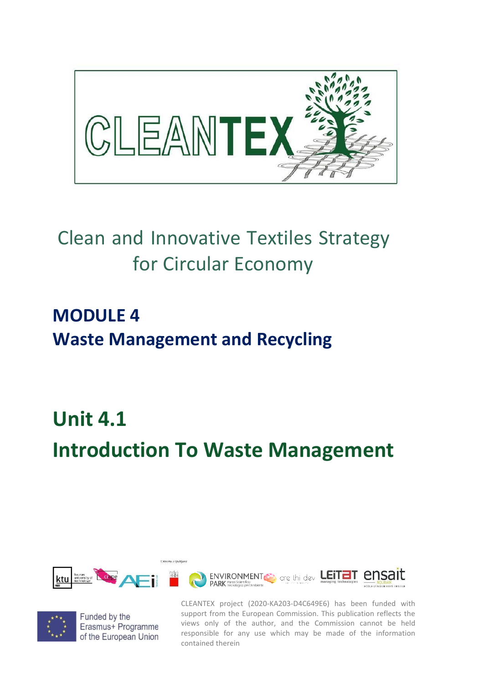

## Clean and Innovative Textiles Strategy for Circular Economy

## **MODULE 4 Waste Management and Recycling**

## **Unit 4.1 Introduction To Waste Management**





Funded by the Erasmus+ Programme of the European Union

CLEANTEX project (2020-KA203-D4C649E6) has been funded with support from the European Commission. This publication reflects the views only of the author, and the Commission cannot be held responsible for any use which may be made of the information contained therein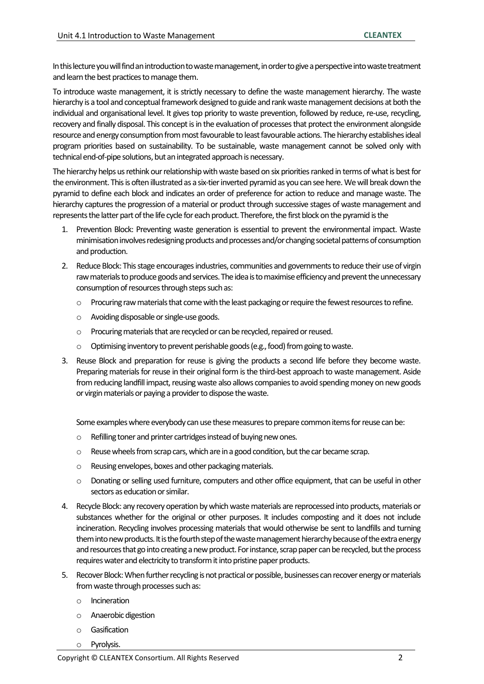Inthis lecture you will find an introduction to waste management, inorder to give a perspective into waste treatment and learn the best practices to manage them.

To introduce waste management, it is strictly necessary to define the waste management hierarchy. The waste hierarchy is a tool and conceptual framework designed to guide and rank waste management decisions at both the individual and organisational level. It gives top priority to waste prevention, followed by reduce, re-use, recycling, recovery and finally disposal. This concept is in the evaluation of processes that protect the environment alongside resource and energy consumption from most favourable to least favourable actions. The hierarchy establishes ideal program priorities based on sustainability. To be sustainable, waste management cannot be solved only with technical end-of-pipe solutions, but an integrated approach is necessary.

The hierarchy helps us rethink our relationship with waste based on six priorities ranked in terms of what is best for the environment. This is often illustrated as a six-tier inverted pyramid as you can see here. We will break down the pyramid to define each block and indicates an order of preference for action to reduce and manage waste. The hierarchy captures the progression of a material or product through successive stages of waste management and represents the latter part of the life cycle for each product. Therefore, the first block on the pyramid is the

- 1. Prevention Block: Preventing waste generation is essential to prevent the environmental impact. Waste minimisation involves redesigning products and processes and/or changing societal patterns of consumption and production.
- 2. Reduce Block: This stage encourages industries, communities and governments to reduce their use of virgin raw materials to produce goods and services. The idea is to maximise efficiency and prevent the unnecessary consumption of resources through steps such as:
	- $\circ$  Procuring raw materials that come with the least packaging or require the fewest resources to refine.
	- o Avoiding disposable or single-use goods.
	- o Procuring materials that are recycled or can be recycled, repaired or reused.
	- o Optimising inventory to prevent perishable goods (e.g., food) from going to waste.
- 3. Reuse Block and preparation for reuse is giving the products a second life before they become waste. Preparing materials for reuse in their original form is the third-best approach to waste management. Aside from reducing landfill impact, reusing waste also allows companies to avoid spending money on new goods or virgin materials or paying a provider to dispose the waste.

Some examples where everybody can use these measures to prepare common items for reuse can be:

- o Refilling toner and printer cartridges instead of buying new ones.
- $\circ$  Reuse wheels from scrap cars, which are in a good condition, but the car became scrap.
- o Reusing envelopes, boxes and other packaging materials.
- o Donating or selling used furniture, computers and other office equipment, that can be useful in other sectors as education or similar.
- 4. Recycle Block: any recovery operation by which waste materials are reprocessed into products, materials or substances whether for the original or other purposes. It includes composting and it does not include incineration. Recycling involves processing materials that would otherwise be sent to landfills and turning them into new products. It is the fourth step of the waste management hierarchy because of the extra energy and resources that go into creating a new product. For instance, scrap paper can be recycled, but the process requires water and electricity to transform it into pristine paper products.
- 5. Recover Block: When further recycling is not practical or possible, businesses can recover energy or materials from waste through processes such as:
	- o Incineration
	- o Anaerobic digestion
	- o Gasification
	- o Pyrolysis.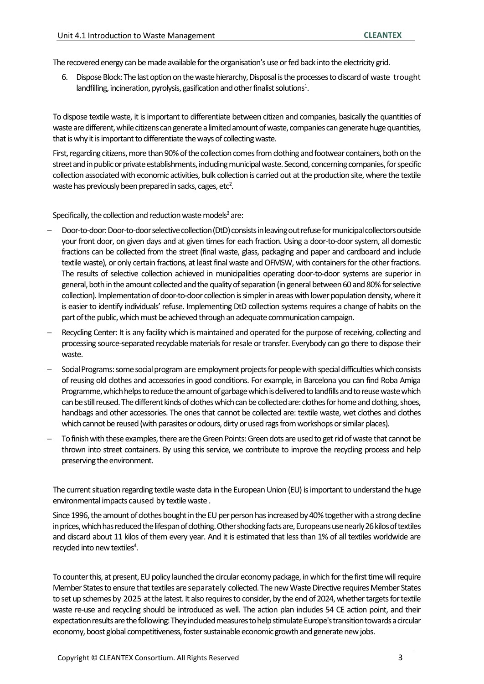The recovered energy can be made available for the organisation's use or fed back into the electricity grid.

6. Dispose Block: The last option on the waste hierarchy, Disposal is the processes to discard of waste trought landfilling, incineration, pyrolysis, gasification and other finalist solutions $^1$ .

To dispose textile waste, it is important to differentiate between citizen and companies, basically the quantities of waste are different, while citizens can generate a limited amount of waste, companies can generate huge quantities, that is why it is important to differentiate the ways of collecting waste.

First, regarding citizens, more than 90% of the collection comes from clothing and footwear containers, both on the street and in public or private establishments, including municipal waste. Second, concerning companies, for specific collection associated with economic activities, bulk collection is carried out at the production site, where the textile waste has previously been prepared in sacks, cages, etc $^2$ .

Specifically, the collection and reduction waste models $3$  are:

- − Door-to-door: Door-to-door selective collection (DtD) consists in leaving out refuse for municipal collectors outside your front door, on given days and at given times for each fraction. Using a door-to-door system, all domestic fractions can be collected from the street (final waste, glass, packaging and paper and cardboard and include textile waste), or only certain fractions, at least final waste and OFMSW, with containers for the other fractions. The results of selective collection achieved in municipalities operating door-to-door systems are superior in general, both in the amount collected and the quality of separation (in general between 60 and 80% for selective collection). Implementation of door-to-door collection is simpler in areas with lower population density, where it is easier to identify individuals' refuse. Implementing DtD collection systems requires a change of habits on the part of the public, which must be achieved through an adequate communication campaign.
- Recycling Center: It is any facility which is maintained and operated for the purpose of receiving, collecting and processing source-separated recyclable materials for resale or transfer. Everybody can go there to dispose their waste.
- − Social Programs: some social program are employment projects for people with special difficulties which consists of reusing old clothes and accessories in good conditions. For example, in Barcelona you can find Roba Amiga Programme, which helps to reduce the amount of garbage which is delivered to landfills and to reuse waste which can be still reused. The different kinds of clothes which can be collected are: clothes for home and clothing, shoes, handbags and other accessories. The ones that cannot be collected are: textile waste, wet clothes and clothes which cannot be reused (with parasites or odours, dirty or used rags from workshops or similar places).
- − To finish with these examples, there arethe Green Points: Green dots are used to get rid of waste that cannot be thrown into street containers. By using this service, we contribute to improve the recycling process and help preserving the environment.

The current situation regarding textile waste data in the European Union (EU) isimportant to understand the huge environmental impacts caused by textile waste .

Since 1996, the amount of clothes bought in the EU per person has increased by 40% together with a strong decline in prices, which has reduced the lifespan of clothing. Other shocking facts are, Europeans use nearly 26 kilos of textiles and discard about 11 kilos of them every year. And it is estimated that less than 1% of all textiles worldwide are recycled into new textiles<sup>4</sup>.

To counter this, at present, EU policy launched the circular economy package, in which for the first time will require Member States to ensure that textiles are separately collected. The new Waste Directive requires Member States to set up schemes by 2025 at the latest. It also requires to consider, by the end of 2024, whether targets for textile waste re-use and recycling should be introduced as well. The action plan includes 54 CE action point, and their expectation results are the following: They included measures to help stimulate Europe's transition towards a circular economy, boost global competitiveness, foster sustainable economic growth and generate new jobs.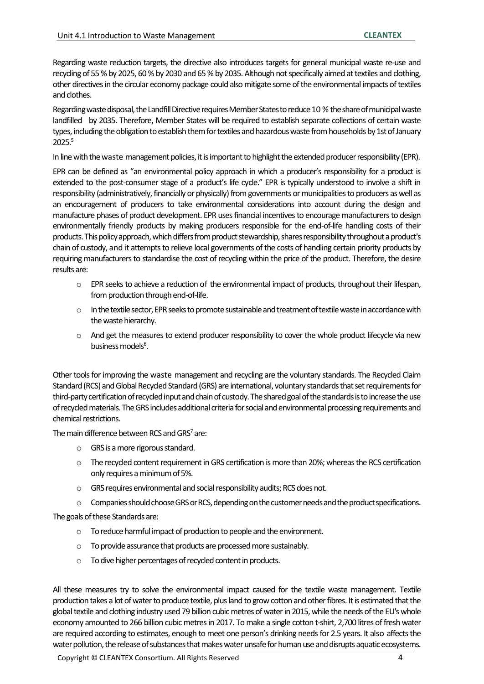Regarding waste reduction targets, the directive also introduces targets for general municipal waste re-use and recycling of 55 % by 2025, 60 % by 2030 and 65 % by 2035. Although not specifically aimed at textiles and clothing, other directives in the circular economy package could also mitigate some of the environmental impacts of textiles and clothes.

Regarding waste disposal, the Landfill Directive requires Member States to reduce 10 % the share of municipal waste landfilled by 2035. Therefore, Member States will be required to establish separate collections of certain waste types, including the obligationto establish them for textiles and hazardous waste from households by 1st of January 2025.<sup>5</sup>

In line with the waste management policies, it is important to highlight the extended producer responsibility (EPR).

EPR can be defined as "an environmental policy approach in which a producer's responsibility for a product is extended to the post-consumer stage of a product's life cycle." EPR is typically understood to involve a shift in responsibility (administratively, financially or physically) from governments or municipalities to producers as well as an encouragement of producers to take environmental considerations into account during the design and manufacture phases of product development. EPR uses financial incentives to encourage manufacturers to design environmentally friendly products by making producers responsible for the end-of-life handling costs of their products. This policy approach, which differs from product stewardship, shares responsibility throughout a product's chain of custody, and it attempts to relieve local governments of the costs of handling certain priority products by requiring manufacturers to standardise the cost of recycling within the price of the product. Therefore, the desire results are:

- $\circ$  EPR seeks to achieve a reduction of the environmental impact of products, throughout their lifespan, from production through end-of-life.
- o In the textile sector, EPR seeks to promote sustainable and treatment of textile waste in accordance with the waste hierarchy.
- o And get the measures to extend producer responsibility to cover the whole product lifecycle via new business models<sup>6</sup>.

Other tools for improving the waste management and recycling are the voluntary standards. The Recycled Claim Standard (RCS) and Global Recycled Standard (GRS) are international, voluntary standards that set requirements for third-party certification of recycled input and chain of custody. The shared goal of the standards is to increase the use of recycled materials. The GRS includes additional criteria for social and environmental processing requirements and chemical restrictions.

The main difference between RCS and GRS $<sup>7</sup>$  are:</sup>

- o GRS is a more rigorous standard.
- o The recycled content requirement in GRS certification is more than 20%; whereas the RCS certification only requires a minimum of 5%.
- o GRS requires environmental and social responsibility audits; RCS does not.
- o Companies should choose GRS or RCS, depending on the customer needs and the product specifications.

The goals of these Standards are:

- o To reduce harmful impact of production to people and the environment.
- o To provide assurance that products are processed more sustainably.
- o To dive higher percentages of recycled content in products.

All these measures try to solve the environmental impact caused for the textile waste management. Textile production takes a lot of water to produce textile, plus land to grow cotton and other fibres. It is estimated that the global textile and clothing industry used 79 billion cubic metres of water in 2015, while the needs of the EU's whole economy amounted to 266 billion cubic metres in 2017. To make a single cotton t-shirt, 2,700 litres of fresh water are required according to estimates, enough to meet one person's drinking needs for 2.5 years. It also affects the water pollution, the release of substances that makes water unsafe for human use and disrupts aquatic ecosystems.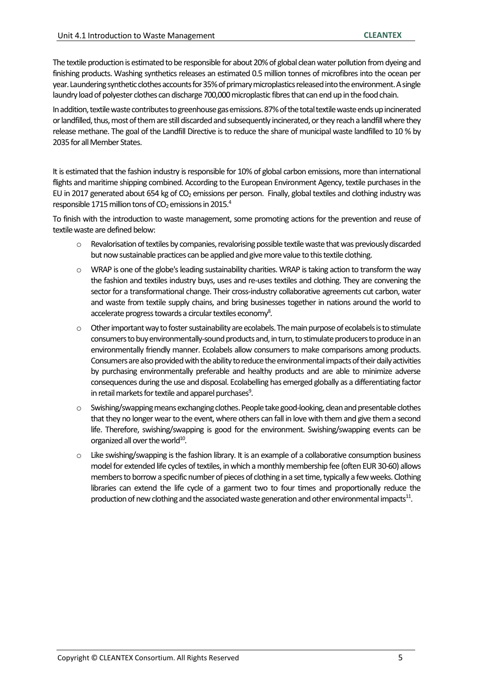The textile production is estimated to be responsible for about 20% of global clean water pollution from dyeing and finishing products. Washing synthetics releases an estimated 0.5 million tonnes of microfibres into the ocean per year. Laundering synthetic clothes accounts for 35% of primary microplastics released into the environment. A single laundry load of polyester clothes can discharge 700,000 microplastic fibres that can end up in the food chain.

In addition, textile waste contributes to greenhouse gas emissions. 87% of the total textile waste ends up incinerated or landfilled, thus, most of them are still discarded and subsequently incinerated, or they reach a landfill where they release methane. The goal of the Landfill Directive is to reduce the share of municipal waste landfilled to 10 % by 2035 for all Member States.

It is estimated that the fashion industry is responsible for 10% of global carbon emissions, more than international flights and maritime shipping combined. According to the European Environment Agency, textile purchases in the EU in 2017 generated about 654 kg of  $CO<sub>2</sub>$  emissions per person. Finally, global textiles and clothing industry was responsible 1715 million tons of  $CO<sub>2</sub>$  emissions in 2015.<sup>4</sup>

To finish with the introduction to waste management, some promoting actions for the prevention and reuse of textile waste are defined below:

- o Revalorisation of textiles by companies, revalorising possible textile waste that was previously discarded but now sustainable practices can be applied and give more value to this textile clothing.
- o WRAP is one of the globe's leading sustainability charities. WRAP is taking action to transform the way the fashion and textiles industry buys, uses and re-uses textiles and clothing. They are convening the sector for a transformational change. Their cross-industry collaborative agreements cut carbon, water and waste from textile supply chains, and bring businesses together in nations around the world to accelerate progress towards a circular textiles economy<sup>8</sup>.
- Other important way to foster sustainability are ecolabels. The main purpose of ecolabels is to stimulate consumers to buy environmentally-sound products and, in turn, to stimulate producers to produce in an environmentally friendly manner. Ecolabels allow consumers to make comparisons among products. Consumers are also provided with the ability to reduce the environmental impacts of their daily activities by purchasing environmentally preferable and healthy products and are able to minimize adverse consequences during the use and disposal. Ecolabelling has emerged globally as a differentiating factor in retail markets for textile and apparel purchases $9$ .
- o Swishing/swapping means exchanging clothes. People take good-looking, clean and presentable clothes that they no longer wear to the event, where others can fall in love with them and give them a second life. Therefore, swishing/swapping is good for the environment. Swishing/swapping events can be organized all over the world<sup>10</sup>.
- Like swishing/swapping is the fashion library. It is an example of a collaborative consumption business model for extended life cycles of textiles, in which a monthly membership fee (often EUR 30-60) allows members to borrow a specific number of pieces of clothing in a set time, typically a few weeks. Clothing libraries can extend the life cycle of a garment two to four times and proportionally reduce the production of new clothing and the associated waste generation and other environmental impacts $^{11}$ .